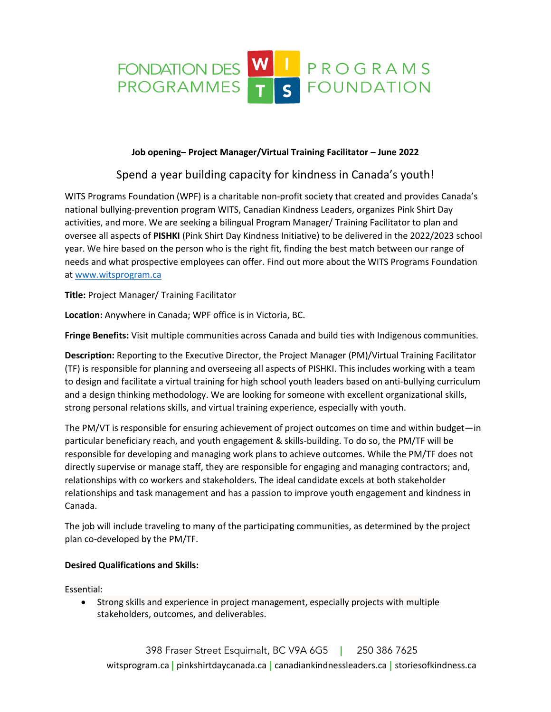

## **Job opening– Project Manager/Virtual Training Facilitator – June 2022**

## Spend a year building capacity for kindness in Canada's youth!

WITS Programs Foundation (WPF) is a charitable non-profit society that created and provides Canada's national bullying-prevention program WITS, Canadian Kindness Leaders, organizes Pink Shirt Day activities, and more. We are seeking a bilingual Program Manager/ Training Facilitator to plan and oversee all aspects of **PISHKI** (Pink Shirt Day Kindness Initiative) to be delivered in the 2022/2023 school year. We hire based on the person who is the right fit, finding the best match between our range of needs and what prospective employees can offer. Find out more about the WITS Programs Foundation a[t www.witsprogram.ca](http://www.witsprogram.ca/)

**Title:** Project Manager/ Training Facilitator

**Location:** Anywhere in Canada; WPF office is in Victoria, BC.

**Fringe Benefits:** Visit multiple communities across Canada and build ties with Indigenous communities.

**Description:** Reporting to the Executive Director, the Project Manager (PM)/Virtual Training Facilitator (TF) is responsible for planning and overseeing all aspects of PISHKI. This includes working with a team to design and facilitate a virtual training for high school youth leaders based on anti-bullying curriculum and a design thinking methodology. We are looking for someone with excellent organizational skills, strong personal relations skills, and virtual training experience, especially with youth.

The PM/VT is responsible for ensuring achievement of project outcomes on time and within budget—in particular beneficiary reach, and youth engagement & skills-building. To do so, the PM/TF will be responsible for developing and managing work plans to achieve outcomes. While the PM/TF does not directly supervise or manage staff, they are responsible for engaging and managing contractors; and, relationships with co workers and stakeholders. The ideal candidate excels at both stakeholder relationships and task management and has a passion to improve youth engagement and kindness in Canada.

The job will include traveling to many of the participating communities, as determined by the project plan co-developed by the PM/TF.

## **Desired Qualifications and Skills:**

Essential:

• Strong skills and experience in project management, especially projects with multiple stakeholders, outcomes, and deliverables.